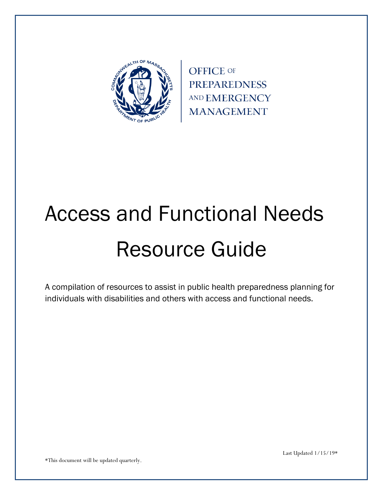

**OFFICE OF PREPAREDNESS** AND EMERGENCY **MANAGEMENT** 

# Access and Functional Needs Resource Guide

A compilation of resources to assist in public health preparedness planning for individuals with disabilities and others with access and functional needs.

\*This document will be updated quarterly.

Last Updated 1/15/19\*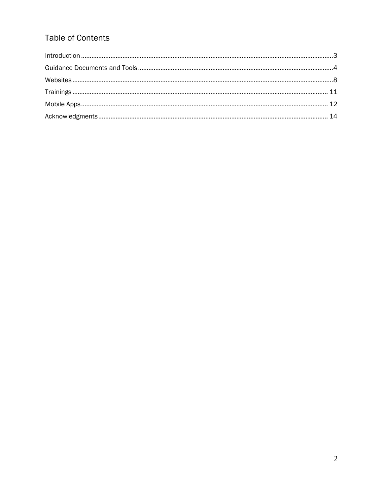# **Table of Contents**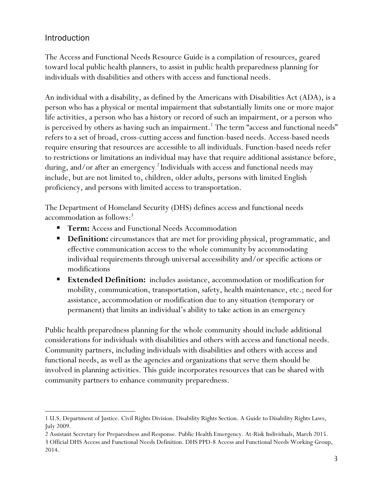# <span id="page-2-0"></span>Introduction

<span id="page-2-1"></span> $\overline{\phantom{a}}$ 

The Access and Functional Needs Resource Guide is a compilation of resources, geared toward local public health planners, to assist in public health preparedness planning for individuals with disabilities and others with access and functional needs.

An individual with a disability, as defined by the Americans with Disabilities Act (ADA), is a person who has a physical or mental impairment that substantially limits one or more major life activities, a person who has a history or record of such an impairment, or a person who is perceived by others as having such an impairment.<sup>1</sup> The term "access and functional needs" refers to a set of broad, cross-cutting access and function-based needs. Access-based needs require ensuring that resources are accessible to all individuals. Function-based needs refer to restrictions or limitations an individual may have that require additional assistance before, during, and/or after an emergency. 2 Individuals with access and functional needs may include, but are not limited to, children, older adults, persons with limited English proficiency, and persons with limited access to transportation.

The Department of Homeland Security (DHS) defines access and functional needs accommodation as follows: 3

- **Term:** Access and Functional Needs Accommodation
- **Definition:** circumstances that are met for providing physical, programmatic, and effective communication access to the whole community by accommodating individual requirements through universal accessibility and/or specific actions or modifications
- **Extended Definition:** includes assistance, accommodation or modification for mobility, communication, transportation, safety, health maintenance, etc.; need for assistance, accommodation or modification due to any situation (temporary or permanent) that limits an individual's ability to take action in an emergency

Public health preparedness planning for the whole community should include additional considerations for individuals with disabilities and others with access and functional needs. Community partners, including individuals with disabilities and others with access and functional needs, as well as the agencies and organizations that serve them should be involved in planning activities. This guide incorporates resources that can be shared with community partners to enhance community preparedness.

<sup>1</sup> U.S. Department of Justice. Civil Rights Division. Disability Rights Section. A Guide to Disability Rights Laws, July 2009.

<sup>2</sup> Assistant Secretary for Preparedness and Response. Public Health Emergency. At-Risk Individuals, March 2015.

<sup>3</sup> Official DHS Access and Functional Needs Definition. DHS PPD-8 Access and Functional Needs Working Group, 2014.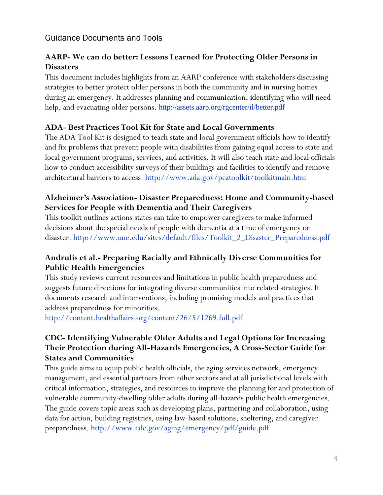#### Guidance Documents and Tools

# **AARP- We can do better: Lessons Learned for Protecting Older Persons in Disasters**

This document includes highlights from an AARP conference with stakeholders discussing strategies to better protect older persons in both the community and in nursing homes during an emergency. It addresses planning and communication, identifying who will need help, and evacuating older persons. <http://assets.aarp.org/rgcenter/il/better.pdf>

#### **ADA- Best Practices Tool Kit for State and Local Governments**

The ADA Tool Kit is designed to teach state and local government officials how to identify and fix problems that prevent people with disabilities from gaining equal access to state and local government programs, services, and activities. It will also teach state and local officials how to conduct accessibility surveys of their buildings and facilities to identify and remove architectural barriers to access. <http://www.ada.gov/pcatoolkit/toolkitmain.htm>

#### **Alzheimer's Association- Disaster Preparedness: Home and Community-based Services for People with Dementia and Their Caregivers**

This toolkit outlines actions states can take to empower caregivers to make informed decisions about the special needs of people with dementia at a time of emergency or disaster. [http://www.une.edu/sites/default/files/Toolkit\\_2\\_Disaster\\_Preparedness.pdf](http://www.une.edu/sites/default/files/Toolkit_2_Disaster_Preparedness.pdf)

#### **Andrulis et al.- Preparing Racially and Ethnically Diverse Communities for Public Health Emergencies**

This study reviews current resources and limitations in public health preparedness and suggests future directions for integrating diverse communities into related strategies. It documents research and interventions, including promising models and practices that address preparedness for minorities.

<http://content.healthaffairs.org/content/26/5/1269.full.pdf>

#### **CDC- Identifying Vulnerable Older Adults and Legal Options for Increasing Their Protection during All-Hazards Emergencies, A Cross-Sector Guide for States and Communities**

This guide aims to equip public health officials, the aging services network, emergency management, and essential partners from other sectors and at all jurisdictional levels with critical information, strategies, and resources to improve the planning for and protection of vulnerable community-dwelling older adults during all-hazards public health emergencies. The guide covers topic areas such as developing plans, partnering and collaboration, using data for action, building registries, using law-based solutions, sheltering, and caregiver preparedness. <http://www.cdc.gov/aging/emergency/pdf/guide.pdf>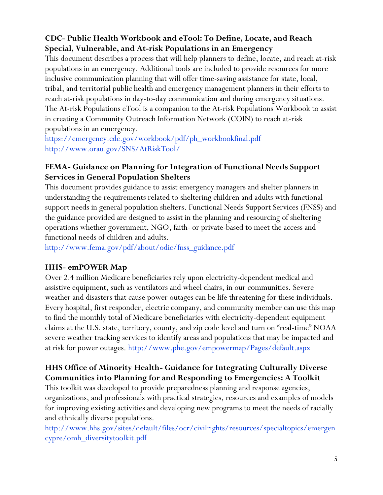# **CDC- Public Health Workbook and eTool: To Define, Locate, and Reach Special, Vulnerable, and At-risk Populations in an Emergency**

This document describes a process that will help planners to define, locate, and reach at-risk populations in an emergency. Additional tools are included to provide resources for more inclusive communication planning that will offer time-saving assistance for state, local, tribal, and territorial public health and emergency management planners in their efforts to reach at-risk populations in day-to-day communication and during emergency situations. The At-risk Populations eTool is a companion to the [At-risk Populations Workbook](http://www.bt.cdc.gov/workbook/) to assist in creating a Community Outreach Information Network (COIN) to reach at-risk populations in an emergency.

[https://emergency.cdc.gov/workbook/pdf/ph\\_workbookfinal.pdf](https://emergency.cdc.gov/workbook/pdf/ph_workbookfinal.pdf) <http://www.orau.gov/SNS/AtRiskTool/>

# **FEMA- Guidance on Planning for Integration of Functional Needs Support Services in General Population Shelters**

This document provides guidance to assist emergency managers and shelter planners in understanding the requirements related to sheltering children and adults with functional support needs in general population shelters. Functional Needs Support Services (FNSS) and the guidance provided are designed to assist in the planning and resourcing of sheltering operations whether government, NGO, faith- or private-based to meet the access and functional needs of children and adults.

[http://www.fema.gov/pdf/about/odic/fnss\\_guidance.pdf](http://www.fema.gov/pdf/about/odic/fnss_guidance.pdf)

#### **HHS- emPOWER Map**

Over 2.4 million Medicare beneficiaries rely upon electricity-dependent medical and assistive equipment, such as ventilators and wheel chairs, in our communities. Severe weather and disasters that cause power outages can be life threatening for these individuals. Every hospital, first responder, electric company, and community member can use this map to find the monthly total of Medicare beneficiaries with electricity-dependent equipment claims at the U.S. state, territory, county, and zip code level and turn on "real-time" NOAA severe weather tracking services to identify areas and populations that may be impacted and at risk for power outages. <http://www.phe.gov/empowermap/Pages/default.aspx>

# **HHS Office of Minority Health- Guidance for Integrating Culturally Diverse Communities into Planning for and Responding to Emergencies: A Toolkit**

This toolkit was developed to provide preparedness planning and response agencies, organizations, and professionals with practical strategies, resources and examples of models for improving existing activities and developing new programs to meet the needs of racially and ethnically diverse populations.

[http://www.hhs.gov/sites/default/files/ocr/civilrights/resources/specialtopics/emergen](http://www.hhs.gov/sites/default/files/ocr/civilrights/resources/specialtopics/emergencypre/omh_diversitytoolkit.pdf) [cypre/omh\\_diversitytoolkit.pdf](http://www.hhs.gov/sites/default/files/ocr/civilrights/resources/specialtopics/emergencypre/omh_diversitytoolkit.pdf)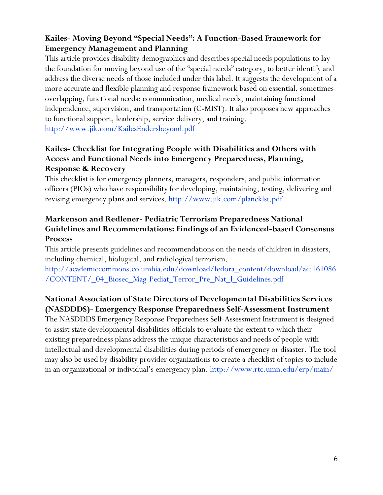# **Kailes- Moving Beyond "Special Needs": A Function-Based Framework for Emergency Management and Planning**

This article provides disability demographics and describes special needs populations to lay the foundation for moving beyond use of the "special needs" category, to better identify and address the diverse needs of those included under this label. It suggests the development of a more accurate and flexible planning and response framework based on essential, sometimes overlapping, functional needs: communication, medical needs, maintaining functional independence, supervision, and transportation (C-MIST). It also proposes new approaches to functional support, leadership, service delivery, and training. <http://www.jik.com/KailesEndersbeyond.pdf>

#### **Kailes- Checklist for Integrating People with Disabilities and Others with Access and Functional Needs into Emergency Preparedness, Planning, Response & Recovery**

This checklist is for emergency planners, managers, responders, and public information officers (PIOs) who have responsibility for developing, maintaining, testing, delivering and revising emergency plans and services.<http://www.jik.com/plancklst.pdf>

# **Markenson and Redlener- Pediatric Terrorism Preparedness National Guidelines and Recommendations: Findings of an Evidenced-based Consensus Process**

This article presents guidelines and recommendations on the needs of children in disasters, including chemical, biological, and radiological terrorism.

[http://academiccommons.columbia.edu/download/fedora\\_content/download/ac:161086](http://academiccommons.columbia.edu/download/fedora_content/download/ac:161086/CONTENT/_04_Biosec_Mag-Pediat_Terror_Pre_Nat_l_Guidelines.pdf) [/CONTENT/\\_04\\_Biosec\\_Mag-Pediat\\_Terror\\_Pre\\_Nat\\_l\\_Guidelines.pdf](http://academiccommons.columbia.edu/download/fedora_content/download/ac:161086/CONTENT/_04_Biosec_Mag-Pediat_Terror_Pre_Nat_l_Guidelines.pdf)

# **[National Association of State Directors of Developmental Disabilities Services](http://www.nasddds.org/)  [\(NASDDDS\)-](http://www.nasddds.org/) Emergency Response Preparedness Self-Assessment Instrument**

The NASDDDS Emergency Response Preparedness Self-Assessment Instrument is designed to assist state developmental disabilities officials to evaluate the extent to which their existing preparedness plans address the unique characteristics and needs of people with intellectual and developmental disabilities during periods of emergency or disaster. The tool may also be used by disability provider organizations to create a checklist of topics to include in an organizational or individual's emergency plan. <http://www.rtc.umn.edu/erp/main/>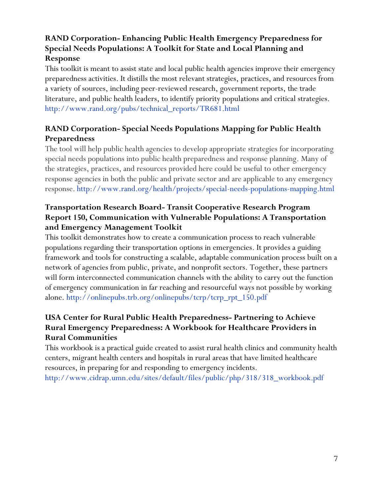# **RAND Corporation- Enhancing Public Health Emergency Preparedness for Special Needs Populations: A Toolkit for State and Local Planning and Response**

This toolkit is meant to assist state and local public health agencies improve their emergency preparedness activities. It distills the most relevant strategies, practices, and resources from a variety of sources, including peer-reviewed research, government reports, the trade literature, and public health leaders, to identify priority populations and critical strategies. [http://www.rand.org/pubs/technical\\_reports/TR681.html](http://www.rand.org/pubs/technical_reports/TR681.html)

# **RAND Corporation- Special Needs Populations Mapping for Public Health Preparedness**

The tool will help public health agencies to develop appropriate strategies for incorporating special needs populations into public health preparedness and response planning. Many of the strategies, practices, and resources provided here could be useful to other emergency response agencies in both the public and private sector and are applicable to any emergency response. <http://www.rand.org/health/projects/special-needs-populations-mapping.html>

#### **Transportation Research Board- Transit Cooperative Research Program Report 150, Communication with Vulnerable Populations: A Transportation and Emergency Management Toolkit**

This toolkit demonstrates how to create a communication process to reach vulnerable populations regarding their transportation options in emergencies. It provides a guiding framework and tools for constructing a scalable, adaptable communication process built on a network of agencies from public, private, and nonprofit sectors. Together, these partners will form interconnected communication channels with the ability to carry out the function of emergency communication in far reaching and resourceful ways not possible by working alone. [http://onlinepubs.trb.org/onlinepubs/tcrp/tcrp\\_rpt\\_150.pdf](http://onlinepubs.trb.org/onlinepubs/tcrp/tcrp_rpt_150.pdf)

#### **USA Center for Rural Public Health Preparedness- Partnering to Achieve Rural Emergency Preparedness: A Workbook for Healthcare Providers in Rural Communities**

<span id="page-6-0"></span>This workbook is a practical guide created to assist rural health clinics and community health centers, migrant health centers and hospitals in rural areas that have limited healthcare resources, in preparing for and responding to emergency incidents. [http://www.cidrap.umn.edu/sites/default/files/public/php/318/318\\_workbook.pdf](http://www.cidrap.umn.edu/sites/default/files/public/php/318/318_workbook.pdf)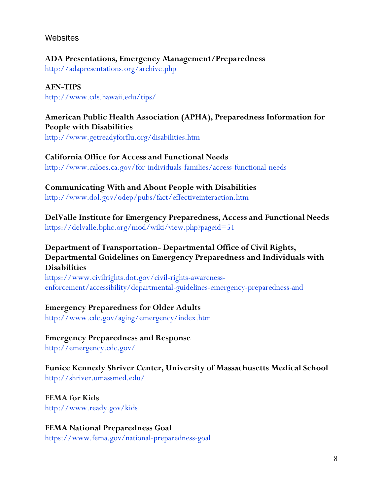#### **Websites**

#### **ADA Presentations, Emergency Management/Preparedness**

<http://adapresentations.org/archive.php>

#### **AFN-TIPS**

<http://www.cds.hawaii.edu/tips/>

# **American Public Health Association (APHA), Preparedness Information for People with Disabilities**

<http://www.getreadyforflu.org/disabilities.htm>

#### **California Office for Access and Functional Needs**

<http://www.caloes.ca.gov/for-individuals-families/access-functional-needs>

#### **Communicating With and About People with Disabilities**

<http://www.dol.gov/odep/pubs/fact/effectiveinteraction.htm>

#### **DelValle Institute for Emergency Preparedness, Access and Functional Needs**  <https://delvalle.bphc.org/mod/wiki/view.php?pageid=51>

#### **Department of Transportation- Departmental Office of Civil Rights, Departmental Guidelines on Emergency Preparedness and Individuals with Disabilities**

[https://www.civilrights.dot.gov/civil-rights-awareness](https://www.civilrights.dot.gov/civil-rights-awareness-enforcement/accessibility/departmental-guidelines-emergency-preparedness-and)[enforcement/accessibility/departmental-guidelines-emergency-preparedness-and](https://www.civilrights.dot.gov/civil-rights-awareness-enforcement/accessibility/departmental-guidelines-emergency-preparedness-and)

#### **Emergency Preparedness for Older Adults**

<http://www.cdc.gov/aging/emergency/index.htm>

# **Emergency Preparedness and Response**

<http://emergency.cdc.gov/>

#### **Eunice Kennedy Shriver Center, University of Massachusetts Medical School** <http://shriver.umassmed.edu/>

**FEMA for Kids**  <http://www.ready.gov/kids>

#### **FEMA National Preparedness Goal**  <https://www.fema.gov/national-preparedness-goal>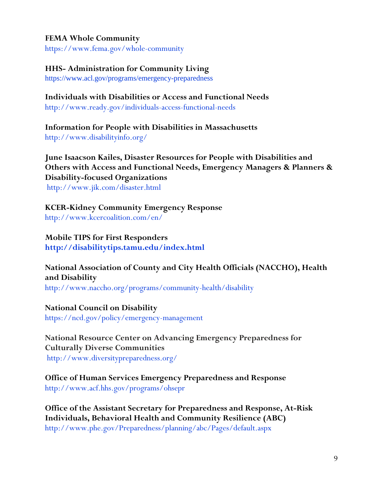#### **FEMA Whole Community**

<https://www.fema.gov/whole-community>

#### **HHS- Administration for Community Living**

<https://www.acl.gov/programs/emergency-preparedness>

# **Individuals with Disabilities or Access and Functional Needs**

<http://www.ready.gov/individuals-access-functional-needs>

**Information for People with Disabilities in Massachusetts** <http://www.disabilityinfo.org/>

**June Isaacson Kailes, Disaster Resources for People with Disabilities and Others with Access and Functional Needs, Emergency Managers & Planners & Disability-focused Organizations** <http://www.jik.com/disaster.html>

**KCER-Kidney Community Emergency Response**

<http://www.kcercoalition.com/en/>

**Mobile TIPS for First Responders <http://disabilitytips.tamu.edu/index.html>**

# **National Association of County and City Health Officials (NACCHO), Health and Disability**

<http://www.naccho.org/programs/community-health/disability>

#### **National Council on Disability**

<https://ncd.gov/policy/emergency-management>

**National Resource Center on Advancing Emergency Preparedness for Culturally Diverse Communities**

<http://www.diversitypreparedness.org/>

**Office of Human Services Emergency Preparedness and Response** <http://www.acf.hhs.gov/programs/ohsepr>

**Office of the Assistant Secretary for Preparedness and Response, At-Risk Individuals, Behavioral Health and Community Resilience (ABC)**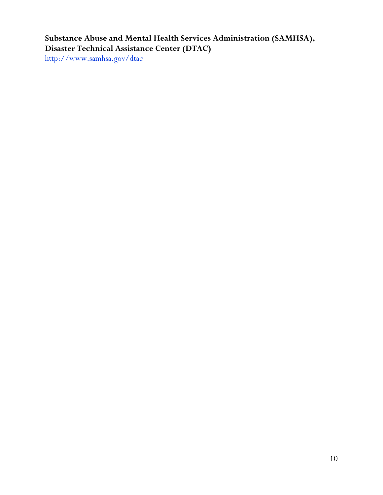# **Substance Abuse and Mental Health Services Administration (SAMHSA), Disaster Technical Assistance Center (DTAC)**

<span id="page-9-0"></span><http://www.samhsa.gov/dtac>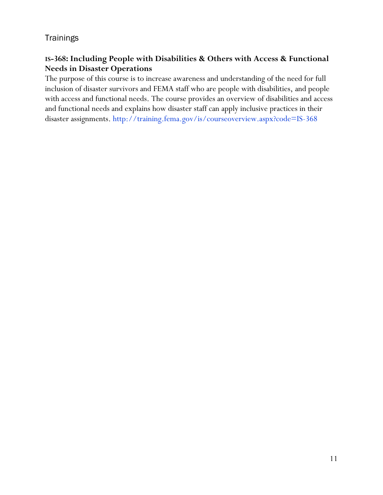#### **Trainings**

# **IS-368: Including People with Disabilities & Others with Access & Functional Needs in Disaster Operations**

<span id="page-10-0"></span>The purpose of this course is to increase awareness and understanding of the need for full inclusion of disaster survivors and FEMA staff who are people with disabilities, and people with access and functional needs. The course provides an overview of disabilities and access and functional needs and explains how disaster staff can apply inclusive practices in their disaster assignments. <http://training.fema.gov/is/courseoverview.aspx?code=IS-368>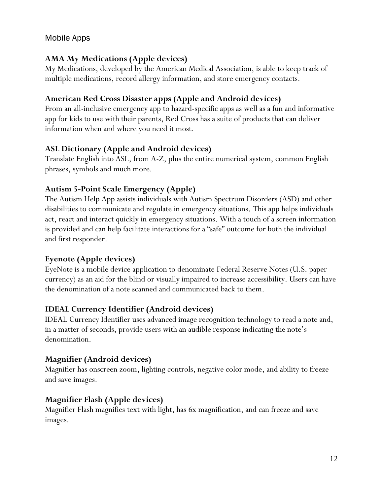#### Mobile Apps

# **AMA My Medications (Apple devices)**

My Medications, developed by the American Medical Association, is able to keep track of multiple medications, record allergy information, and store emergency contacts.

#### **American Red Cross Disaster apps (Apple and Android devices)**

From an all-inclusive emergency app to hazard-specific apps as well as a fun and informative app for kids to use with their parents, Red Cross has a suite of products that can deliver information when and where you need it most.

#### **ASL Dictionary (Apple and Android devices)**

Translate English into ASL, from A-Z, plus the entire numerical system, common English phrases, symbols and much more.

#### **Autism 5-Point Scale Emergency (Apple)**

The Autism Help App assists individuals with Autism Spectrum Disorders (ASD) and other disabilities to communicate and regulate in emergency situations. This app helps individuals act, react and interact quickly in emergency situations. With a touch of a screen information is provided and can help facilitate interactions for a "safe" outcome for both the individual and first responder.

#### **Eyenote (Apple devices)**

EyeNote is a mobile device application to denominate Federal Reserve Notes (U.S. paper currency) as an aid for the blind or visually impaired to increase accessibility. Users can have the denomination of a note scanned and communicated back to them.

#### **IDEAL Currency Identifier (Android devices)**

IDEAL Currency Identifier uses advanced image recognition technology to read a note and, in a matter of seconds, provide users with an audible response indicating the note's denomination.

#### **Magnifier (Android devices)**

Magnifier has onscreen zoom, lighting controls, negative color mode, and ability to freeze and save images.

#### **Magnifier Flash (Apple devices)**

Magnifier Flash magnifies text with light, has 6x magnification, and can freeze and save images.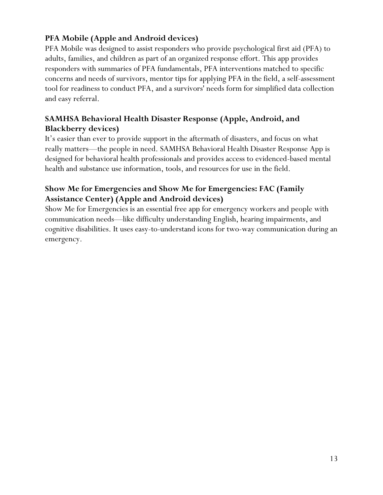# **PFA Mobile (Apple and Android devices)**

PFA Mobile was designed to assist responders who provide psychological first aid (PFA) to adults, families, and children as part of an organized response effort. This app provides responders with summaries of PFA fundamentals, PFA interventions matched to specific concerns and needs of survivors, mentor tips for applying PFA in the field, a self-assessment tool for readiness to conduct PFA, and a survivors' needs form for simplified data collection and easy referral.

# **SAMHSA Behavioral Health Disaster Response (Apple, Android, and Blackberry devices)**

It's easier than ever to provide support in the aftermath of disasters, and focus on what really matters—the people in need. SAMHSA Behavioral Health Disaster Response App is designed for behavioral health professionals and provides access to evidenced-based mental health and substance use information, tools, and resources for use in the field.

# **Show Me for Emergencies and Show Me for Emergencies: FAC (Family Assistance Center) (Apple and Android devices)**

Show Me for Emergencies is an essential free app for emergency workers and people with communication needs—like difficulty understanding English, hearing impairments, and cognitive disabilities. It uses easy-to-understand icons for two-way communication during an emergency.